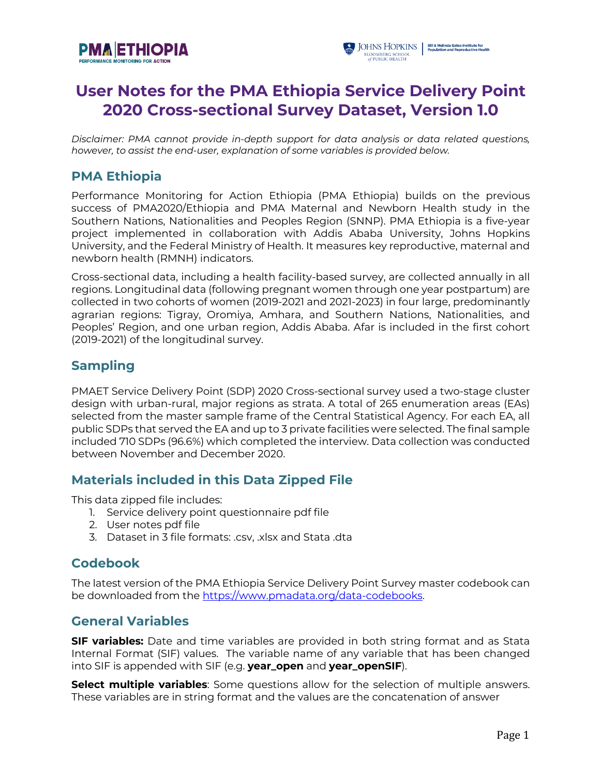



# **User Notes for the PMA Ethiopia Service Delivery Point 2020 Cross-sectional Survey Dataset, Version 1.0**

*Disclaimer: PMA cannot provide in-depth support for data analysis or data related questions, however, to assist the end-user, explanation of some variables is provided below.*

## **PMA Ethiopia**

Performance Monitoring for Action Ethiopia (PMA Ethiopia) builds on the previous success of PMA2020/Ethiopia and PMA Maternal and Newborn Health study in the Southern Nations, Nationalities and Peoples Region (SNNP). PMA Ethiopia is a five-year project implemented in collaboration with Addis Ababa University, Johns Hopkins University, and the Federal Ministry of Health. It measures key reproductive, maternal and newborn health (RMNH) indicators.

Cross-sectional data, including a health facility-based survey, are collected annually in all regions. Longitudinal data (following pregnant women through one year postpartum) are collected in two cohorts of women (2019-2021 and 2021-2023) in four large, predominantly agrarian regions: Tigray, Oromiya, Amhara, and Southern Nations, Nationalities, and Peoples' Region, and one urban region, Addis Ababa. Afar is included in the first cohort (2019-2021) of the longitudinal survey.

# **Sampling**

PMAET Service Delivery Point (SDP) 2020 Cross-sectional survey used a two-stage cluster design with urban-rural, major regions as strata. A total of 265 enumeration areas (EAs) selected from the master sample frame of the Central Statistical Agency. For each EA, all public SDPs that served the EA and up to 3 private facilities were selected. The final sample included 710 SDPs (96.6%) which completed the interview. Data collection was conducted between November and December 2020.

## **Materials included in this Data Zipped File**

This data zipped file includes:

- 1. Service delivery point questionnaire pdf file
- 2. User notes pdf file
- 3. Dataset in 3 file formats: .csv, .xlsx and Stata .dta

## **Codebook**

The latest version of the PMA Ethiopia Service Delivery Point Survey master codebook can be downloaded from the https://www.pmadata.org/data-codebooks.

## **General Variables**

**SIF variables:** Date and time variables are provided in both string format and as Stata Internal Format (SIF) values. The variable name of any variable that has been changed into SIF is appended with SIF (e.g. **year\_open** and **year\_openSIF**).

**Select multiple variables**: Some questions allow for the selection of multiple answers. These variables are in string format and the values are the concatenation of answer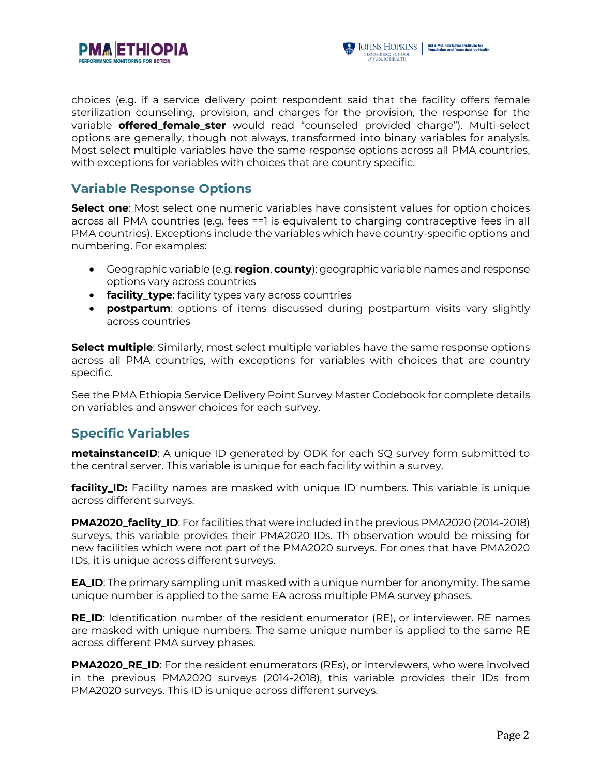



choices (e.g. if a service delivery point respondent said that the facility offers female sterilization counseling, provision, and charges for the provision, the response for the variable **offered\_female\_ster** would read "counseled provided charge"). Multi-select options are generally, though not always, transformed into binary variables for analysis. Most select multiple variables have the same response options across all PMA countries, with exceptions for variables with choices that are country specific.

# **Variable Response Options**

**Select one**: Most select one numeric variables have consistent values for option choices across all PMA countries (e.g. fees ==1 is equivalent to charging contraceptive fees in all PMA countries). Exceptions include the variables which have country-specific options and numbering. For examples:

- Geographic variable (e.g. **region**, **county**): geographic variable names and response options vary across countries
- **facility\_type**: facility types vary across countries
- **postpartum**: options of items discussed during postpartum visits vary slightly across countries

**Select multiple**: Similarly, most select multiple variables have the same response options across all PMA countries, with exceptions for variables with choices that are country specific.

See the PMA Ethiopia Service Delivery Point Survey Master Codebook for complete details on variables and answer choices for each survey.

# **Specific Variables**

**metainstanceID**: A unique ID generated by ODK for each SQ survey form submitted to the central server. This variable is unique for each facility within a survey.

**facility\_ID:** Facility names are masked with unique ID numbers. This variable is unique across different surveys.

**PMA2020\_faclity\_ID**: For facilities that were included in the previous PMA2020 (2014-2018) surveys, this variable provides their PMA2020 IDs. Th observation would be missing for new facilities which were not part of the PMA2020 surveys. For ones that have PMA2020 IDs, it is unique across different surveys.

**EA\_ID**: The primary sampling unit masked with a unique number for anonymity. The same unique number is applied to the same EA across multiple PMA survey phases.

**RE\_ID**: Identification number of the resident enumerator (RE), or interviewer. RE names are masked with unique numbers. The same unique number is applied to the same RE across different PMA survey phases.

**PMA2020\_RE\_ID**: For the resident enumerators (REs), or interviewers, who were involved in the previous PMA2020 surveys (2014-2018), this variable provides their IDs from PMA2020 surveys. This ID is unique across different surveys.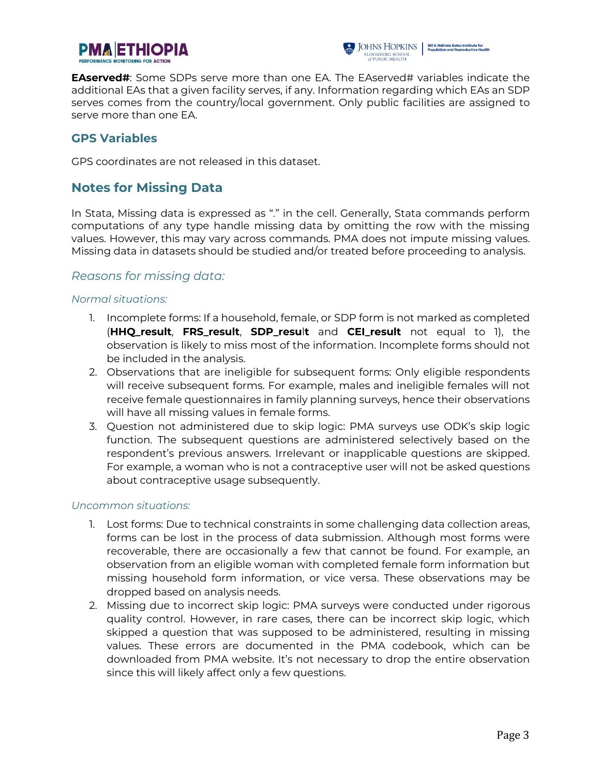



**EAserved#:** Some SDPs serve more than one EA. The EAserved# variables indicate the additional EAs that a given facility serves, if any. Information regarding which EAs an SDP serves comes from the country/local government. Only public facilities are assigned to serve more than one EA.

#### **GPS Variables**

GPS coordinates are not released in this dataset.

# **Notes for Missing Data**

In Stata, Missing data is expressed as "." in the cell. Generally, Stata commands perform computations of any type handle missing data by omitting the row with the missing values. However, this may vary across commands. PMA does not impute missing values. Missing data in datasets should be studied and/or treated before proceeding to analysis.

#### *Reasons for missing data:*

#### *Normal situations:*

- 1. Incomplete forms: If a household, female, or SDP form is not marked as completed (**HHQ\_result**, **FRS\_result**, **SDP\_resu**l**t** and **CEI\_result** not equal to 1), the observation is likely to miss most of the information. Incomplete forms should not be included in the analysis.
- 2. Observations that are ineligible for subsequent forms: Only eligible respondents will receive subsequent forms. For example, males and ineligible females will not receive female questionnaires in family planning surveys, hence their observations will have all missing values in female forms.
- 3. Question not administered due to skip logic: PMA surveys use ODK's skip logic function. The subsequent questions are administered selectively based on the respondent's previous answers. Irrelevant or inapplicable questions are skipped. For example, a woman who is not a contraceptive user will not be asked questions about contraceptive usage subsequently.

#### *Uncommon situations:*

- 1. Lost forms: Due to technical constraints in some challenging data collection areas, forms can be lost in the process of data submission. Although most forms were recoverable, there are occasionally a few that cannot be found. For example, an observation from an eligible woman with completed female form information but missing household form information, or vice versa. These observations may be dropped based on analysis needs.
- 2. Missing due to incorrect skip logic: PMA surveys were conducted under rigorous quality control. However, in rare cases, there can be incorrect skip logic, which skipped a question that was supposed to be administered, resulting in missing values. These errors are documented in the PMA codebook, which can be downloaded from PMA website. It's not necessary to drop the entire observation since this will likely affect only a few questions.